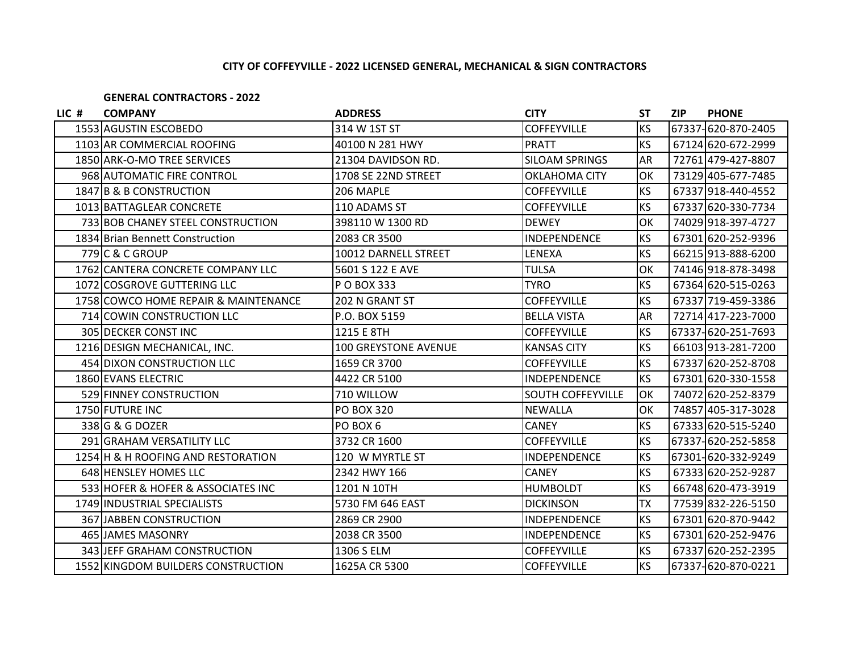## **CITY OF COFFEYVILLE - 2022 LICENSED GENERAL, MECHANICAL & SIGN CONTRACTORS**

## **GENERAL CONTRACTORS - 2022**

| LIC # | <b>COMPANY</b>                       | <b>ADDRESS</b>              | <b>CITY</b>              | <b>ST</b> | <b>ZIP</b> | <b>PHONE</b>       |
|-------|--------------------------------------|-----------------------------|--------------------------|-----------|------------|--------------------|
|       | 1553 AGUSTIN ESCOBEDO                | 314 W 1ST ST                | <b>COFFEYVILLE</b>       | <b>KS</b> |            | 67337-620-870-2405 |
|       | 1103 AR COMMERCIAL ROOFING           | 40100 N 281 HWY             | <b>PRATT</b>             | <b>KS</b> |            | 67124 620-672-2999 |
|       | 1850 ARK-O-MO TREE SERVICES          | 21304 DAVIDSON RD.          | <b>SILOAM SPRINGS</b>    | <b>AR</b> |            | 72761 479-427-8807 |
|       | 968 AUTOMATIC FIRE CONTROL           | 1708 SE 22ND STREET         | OKLAHOMA CITY            | OK        |            | 73129 405-677-7485 |
|       | 1847 B & B CONSTRUCTION              | 206 MAPLE                   | <b>COFFEYVILLE</b>       | <b>KS</b> |            | 67337 918-440-4552 |
|       | 1013 BATTAGLEAR CONCRETE             | 110 ADAMS ST                | <b>COFFEYVILLE</b>       | <b>KS</b> |            | 67337 620-330-7734 |
|       | 733 BOB CHANEY STEEL CONSTRUCTION    | 398110 W 1300 RD            | <b>DEWEY</b>             | OK        |            | 74029918-397-4727  |
|       | 1834 Brian Bennett Construction      | 2083 CR 3500                | INDEPENDENCE             | <b>KS</b> |            | 67301 620-252-9396 |
|       | 779 C & C GROUP                      | 10012 DARNELL STREET        | LENEXA                   | KS        |            | 66215 913-888-6200 |
|       | 1762 CANTERA CONCRETE COMPANY LLC    | 5601 S 122 E AVE            | <b>TULSA</b>             | OK        |            | 74146 918-878-3498 |
|       | 1072 COSGROVE GUTTERING LLC          | P O BOX 333                 | <b>TYRO</b>              | <b>KS</b> |            | 67364 620-515-0263 |
|       | 1758 COWCO HOME REPAIR & MAINTENANCE | 202 N GRANT ST              | <b>COFFEYVILLE</b>       | <b>KS</b> |            | 67337 719-459-3386 |
|       | 714 COWIN CONSTRUCTION LLC           | P.O. BOX 5159               | <b>BELLA VISTA</b>       | <b>AR</b> |            | 72714 417-223-7000 |
|       | 305 DECKER CONST INC                 | 1215 E 8TH                  | <b>COFFEYVILLE</b>       | <b>KS</b> |            | 67337-620-251-7693 |
|       | 1216 DESIGN MECHANICAL, INC.         | <b>100 GREYSTONE AVENUE</b> | <b>KANSAS CITY</b>       | <b>KS</b> |            | 66103 913-281-7200 |
|       | 454 DIXON CONSTRUCTION LLC           | 1659 CR 3700                | <b>COFFEYVILLE</b>       | <b>KS</b> |            | 67337 620-252-8708 |
|       | 1860 EVANS ELECTRIC                  | 4422 CR 5100                | INDEPENDENCE             | <b>KS</b> |            | 67301 620-330-1558 |
|       | 529 FINNEY CONSTRUCTION              | 710 WILLOW                  | <b>SOUTH COFFEYVILLE</b> | OK        |            | 74072 620-252-8379 |
|       | 1750 FUTURE INC                      | <b>PO BOX 320</b>           | <b>NEWALLA</b>           | OK        |            | 74857 405-317-3028 |
|       | 338 G & G DOZER                      | PO BOX 6                    | <b>CANEY</b>             | <b>KS</b> |            | 67333 620-515-5240 |
|       | 291 GRAHAM VERSATILITY LLC           | 3732 CR 1600                | <b>COFFEYVILLE</b>       | <b>KS</b> |            | 67337-620-252-5858 |
|       | 1254 H & H ROOFING AND RESTORATION   | 120 W MYRTLE ST             | <b>INDEPENDENCE</b>      | <b>KS</b> |            | 67301-620-332-9249 |
|       | 648 HENSLEY HOMES LLC                | 2342 HWY 166                | <b>CANEY</b>             | <b>KS</b> |            | 67333 620-252-9287 |
|       | 533 HOFER & HOFER & ASSOCIATES INC   | 1201 N 10TH                 | <b>HUMBOLDT</b>          | <b>KS</b> |            | 66748 620-473-3919 |
|       | 1749 INDUSTRIAL SPECIALISTS          | 5730 FM 646 EAST            | <b>DICKINSON</b>         | <b>TX</b> |            | 77539 832-226-5150 |
|       | 367 JABBEN CONSTRUCTION              | 2869 CR 2900                | <b>INDEPENDENCE</b>      | <b>KS</b> |            | 67301 620-870-9442 |
|       | 465 JAMES MASONRY                    | 2038 CR 3500                | INDEPENDENCE             | KS        |            | 67301 620-252-9476 |
|       | 343 JEFF GRAHAM CONSTRUCTION         | 1306 S ELM                  | <b>COFFEYVILLE</b>       | <b>KS</b> |            | 67337 620-252-2395 |
|       | 1552 KINGDOM BUILDERS CONSTRUCTION   | 1625A CR 5300               | <b>COFFEYVILLE</b>       | <b>KS</b> |            | 67337-620-870-0221 |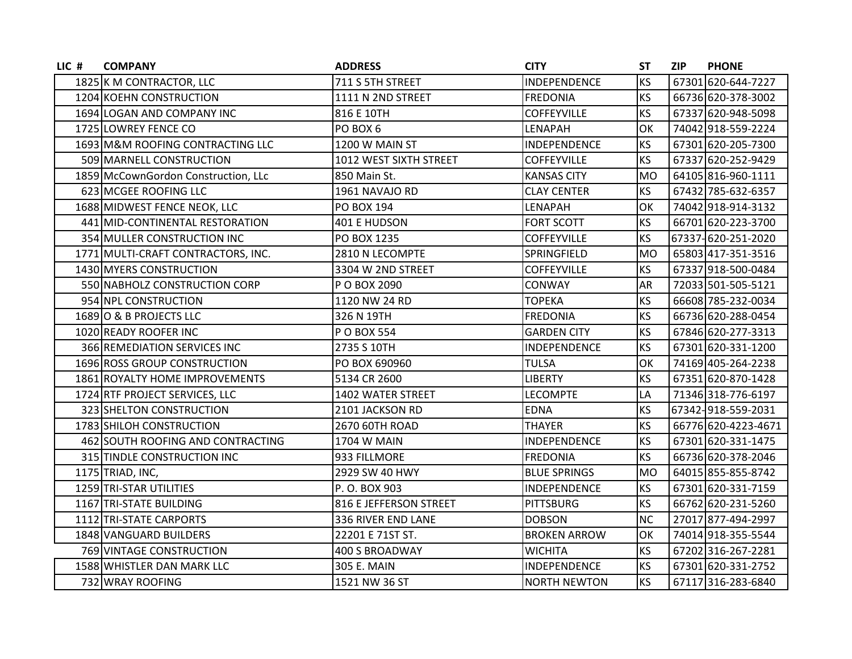| LIC # | <b>COMPANY</b>                      | <b>ADDRESS</b>         | <b>CITY</b>         | ST        | <b>ZIP</b> | <b>PHONE</b>        |
|-------|-------------------------------------|------------------------|---------------------|-----------|------------|---------------------|
|       | 1825 K M CONTRACTOR, LLC            | 711 S 5TH STREET       | INDEPENDENCE        | <b>KS</b> |            | 67301 620-644-7227  |
|       | 1204 KOEHN CONSTRUCTION             | 1111 N 2ND STREET      | <b>FREDONIA</b>     | <b>KS</b> |            | 66736 620-378-3002  |
|       | 1694 LOGAN AND COMPANY INC          | 816 E 10TH             | <b>COFFEYVILLE</b>  | <b>KS</b> |            | 67337 620-948-5098  |
|       | 1725 LOWREY FENCE CO                | PO BOX 6               | LENAPAH             | OK        |            | 74042 918-559-2224  |
|       | 1693 M&M ROOFING CONTRACTING LLC    | 1200 W MAIN ST         | INDEPENDENCE        | <b>KS</b> |            | 67301 620-205-7300  |
|       | 509 MARNELL CONSTRUCTION            | 1012 WEST SIXTH STREET | <b>COFFEYVILLE</b>  | <b>KS</b> |            | 67337 620-252-9429  |
|       | 1859 McCownGordon Construction, LLc | 850 Main St.           | <b>KANSAS CITY</b>  | <b>MO</b> |            | 64105 816-960-1111  |
|       | 623 MCGEE ROOFING LLC               | 1961 NAVAJO RD         | <b>CLAY CENTER</b>  | <b>KS</b> |            | 67432 785-632-6357  |
|       | 1688 MIDWEST FENCE NEOK, LLC        | PO BOX 194             | LENAPAH             | OK        |            | 74042 918-914-3132  |
|       | 441 MID-CONTINENTAL RESTORATION     | 401 E HUDSON           | <b>FORT SCOTT</b>   | <b>KS</b> |            | 66701 620-223-3700  |
|       | 354 MULLER CONSTRUCTION INC         | PO BOX 1235            | COFFEYVILLE         | <b>KS</b> |            | 67337-620-251-2020  |
|       | 1771 MULTI-CRAFT CONTRACTORS, INC.  | 2810 N LECOMPTE        | SPRINGFIELD         | <b>MO</b> |            | 65803 417-351-3516  |
|       | 1430 MYERS CONSTRUCTION             | 3304 W 2ND STREET      | <b>COFFEYVILLE</b>  | <b>KS</b> |            | 67337 918-500-0484  |
|       | 550 NABHOLZ CONSTRUCTION CORP       | P O BOX 2090           | CONWAY              | <b>AR</b> |            | 72033 501-505-5121  |
|       | 954 NPL CONSTRUCTION                | 1120 NW 24 RD          | <b>TOPEKA</b>       | <b>KS</b> |            | 66608 785-232-0034  |
|       | 1689 O & B PROJECTS LLC             | 326 N 19TH             | <b>FREDONIA</b>     | <b>KS</b> |            | 66736 620-288-0454  |
|       | 1020 READY ROOFER INC               | P O BOX 554            | <b>GARDEN CITY</b>  | <b>KS</b> |            | 67846 620-277-3313  |
|       | 366 REMEDIATION SERVICES INC        | 2735 S 10TH            | <b>INDEPENDENCE</b> | KS        |            | 67301 620-331-1200  |
|       | 1696 ROSS GROUP CONSTRUCTION        | PO BOX 690960          | <b>TULSA</b>        | OK        |            | 74169 405-264-2238  |
|       | 1861 ROYALTY HOME IMPROVEMENTS      | 5134 CR 2600           | <b>LIBERTY</b>      | <b>KS</b> |            | 67351 620-870-1428  |
|       | 1724 RTF PROJECT SERVICES, LLC      | 1402 WATER STREET      | <b>LECOMPTE</b>     | LA        |            | 71346 318-776-6197  |
|       | 323 SHELTON CONSTRUCTION            | 2101 JACKSON RD        | <b>EDNA</b>         | <b>KS</b> |            | 67342-918-559-2031  |
|       | 1783 SHILOH CONSTRUCTION            | 2670 60TH ROAD         | <b>THAYER</b>       | <b>KS</b> |            | 66776 620-4223-4671 |
|       | 462 SOUTH ROOFING AND CONTRACTING   | 1704 W MAIN            | INDEPENDENCE        | KS        |            | 67301 620-331-1475  |
|       | 315 TINDLE CONSTRUCTION INC         | 933 FILLMORE           | <b>FREDONIA</b>     | <b>KS</b> |            | 66736 620-378-2046  |
|       | 1175 TRIAD, INC,                    | 2929 SW 40 HWY         | <b>BLUE SPRINGS</b> | <b>MO</b> |            | 64015 855-855-8742  |
|       | 1259 TRI-STAR UTILITIES             | P.O. BOX 903           | INDEPENDENCE        | <b>KS</b> |            | 67301 620-331-7159  |
|       | 1167 TRI-STATE BUILDING             | 816 E JEFFERSON STREET | <b>PITTSBURG</b>    | <b>KS</b> |            | 66762 620-231-5260  |
|       | 1112 TRI-STATE CARPORTS             | 336 RIVER END LANE     | <b>DOBSON</b>       | <b>NC</b> |            | 27017 877-494-2997  |
|       | 1848 VANGUARD BUILDERS              | 22201 E 71ST ST.       | <b>BROKEN ARROW</b> | OK        |            | 74014 918-355-5544  |
|       | 769 VINTAGE CONSTRUCTION            | 400 S BROADWAY         | <b>WICHITA</b>      | <b>KS</b> |            | 67202 316-267-2281  |
|       | 1588 WHISTLER DAN MARK LLC          | 305 E. MAIN            | INDEPENDENCE        | KS        |            | 67301 620-331-2752  |
|       | 732 WRAY ROOFING                    | 1521 NW 36 ST          | <b>NORTH NEWTON</b> | KS        |            | 67117 316-283-6840  |